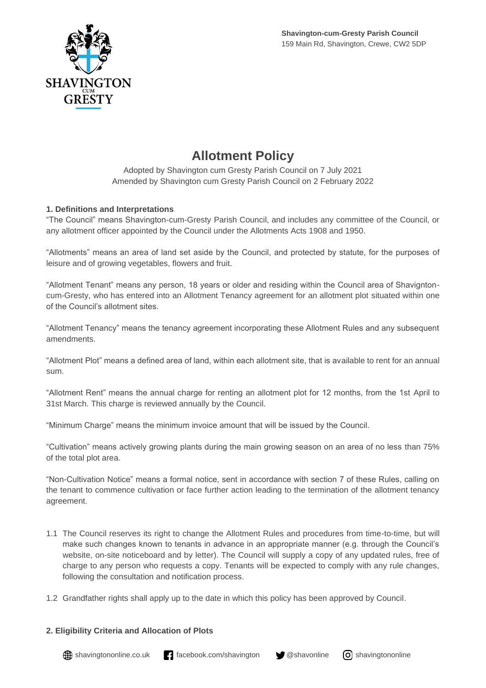

# **Allotment Policy**

Adopted by Shavington cum Gresty Parish Council on 7 July 2021 Amended by Shavington cum Gresty Parish Council on 2 February 2022

## **1. Definitions and Interpretations**

"The Council" means Shavington-cum-Gresty Parish Council, and includes any committee of the Council, or any allotment officer appointed by the Council under the Allotments Acts 1908 and 1950.

"Allotments" means an area of land set aside by the Council, and protected by statute, for the purposes of leisure and of growing vegetables, flowers and fruit.

"Allotment Tenant" means any person, 18 years or older and residing within the Council area of Shavigntoncum-Gresty, who has entered into an Allotment Tenancy agreement for an allotment plot situated within one of the Council's allotment sites.

"Allotment Tenancy" means the tenancy agreement incorporating these Allotment Rules and any subsequent amendments.

"Allotment Plot" means a defined area of land, within each allotment site, that is available to rent for an annual sum.

"Allotment Rent" means the annual charge for renting an allotment plot for 12 months, from the 1st April to 31st March. This charge is reviewed annually by the Council.

"Minimum Charge" means the minimum invoice amount that will be issued by the Council.

"Cultivation" means actively growing plants during the main growing season on an area of no less than 75% of the total plot area.

"Non-Cultivation Notice" means a formal notice, sent in accordance with section 7 of these Rules, calling on the tenant to commence cultivation or face further action leading to the termination of the allotment tenancy agreement.

- 1.1 The Council reserves its right to change the Allotment Rules and procedures from time-to-time, but will make such changes known to tenants in advance in an appropriate manner (e.g. through the Council's website, on-site noticeboard and by letter). The Council will supply a copy of any updated rules, free of charge to any person who requests a copy. Tenants will be expected to comply with any rule changes, following the consultation and notification process.
- 1.2 Grandfather rights shall apply up to the date in which this policy has been approved by Council.

## **2. Eligibility Criteria and Allocation of Plots**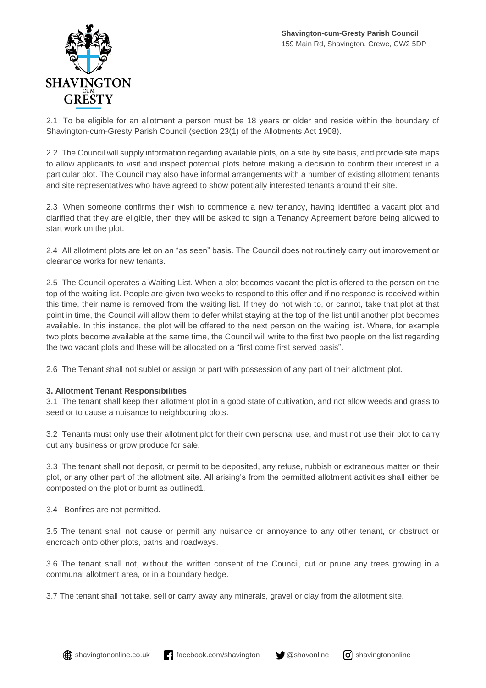

2.1 To be eligible for an allotment a person must be 18 years or older and reside within the boundary of Shavington-cum-Gresty Parish Council (section 23(1) of the Allotments Act 1908).

2.2 The Council will supply information regarding available plots, on a site by site basis, and provide site maps to allow applicants to visit and inspect potential plots before making a decision to confirm their interest in a particular plot. The Council may also have informal arrangements with a number of existing allotment tenants and site representatives who have agreed to show potentially interested tenants around their site.

2.3 When someone confirms their wish to commence a new tenancy, having identified a vacant plot and clarified that they are eligible, then they will be asked to sign a Tenancy Agreement before being allowed to start work on the plot.

2.4 All allotment plots are let on an "as seen" basis. The Council does not routinely carry out improvement or clearance works for new tenants.

2.5 The Council operates a Waiting List. When a plot becomes vacant the plot is offered to the person on the top of the waiting list. People are given two weeks to respond to this offer and if no response is received within this time, their name is removed from the waiting list. If they do not wish to, or cannot, take that plot at that point in time, the Council will allow them to defer whilst staying at the top of the list until another plot becomes available. In this instance, the plot will be offered to the next person on the waiting list. Where, for example two plots become available at the same time, the Council will write to the first two people on the list regarding the two vacant plots and these will be allocated on a "first come first served basis".

2.6 The Tenant shall not sublet or assign or part with possession of any part of their allotment plot.

## **3. Allotment Tenant Responsibilities**

3.1 The tenant shall keep their allotment plot in a good state of cultivation, and not allow weeds and grass to seed or to cause a nuisance to neighbouring plots.

3.2 Tenants must only use their allotment plot for their own personal use, and must not use their plot to carry out any business or grow produce for sale.

3.3 The tenant shall not deposit, or permit to be deposited, any refuse, rubbish or extraneous matter on their plot, or any other part of the allotment site. All arising's from the permitted allotment activities shall either be composted on the plot or burnt as outlined1.

3.4 Bonfires are not permitted.

3.5 The tenant shall not cause or permit any nuisance or annoyance to any other tenant, or obstruct or encroach onto other plots, paths and roadways.

3.6 The tenant shall not, without the written consent of the Council, cut or prune any trees growing in a communal allotment area, or in a boundary hedge.

3.7 The tenant shall not take, sell or carry away any minerals, gravel or clay from the allotment site.

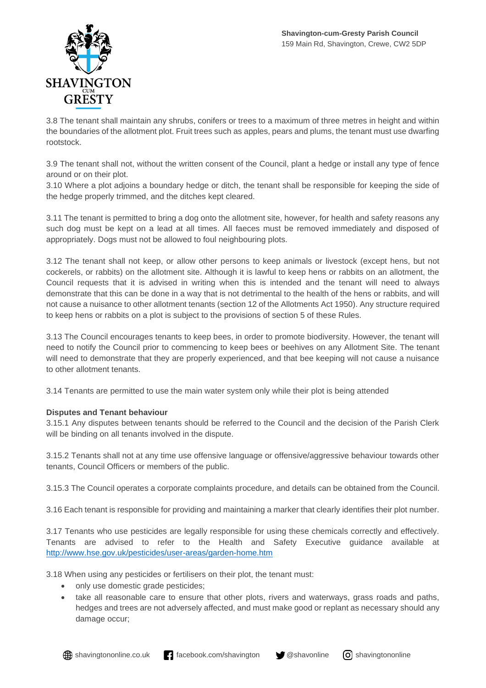

3.8 The tenant shall maintain any shrubs, conifers or trees to a maximum of three metres in height and within the boundaries of the allotment plot. Fruit trees such as apples, pears and plums, the tenant must use dwarfing rootstock.

3.9 The tenant shall not, without the written consent of the Council, plant a hedge or install any type of fence around or on their plot.

3.10 Where a plot adjoins a boundary hedge or ditch, the tenant shall be responsible for keeping the side of the hedge properly trimmed, and the ditches kept cleared.

3.11 The tenant is permitted to bring a dog onto the allotment site, however, for health and safety reasons any such dog must be kept on a lead at all times. All faeces must be removed immediately and disposed of appropriately. Dogs must not be allowed to foul neighbouring plots.

3.12 The tenant shall not keep, or allow other persons to keep animals or livestock (except hens, but not cockerels, or rabbits) on the allotment site. Although it is lawful to keep hens or rabbits on an allotment, the Council requests that it is advised in writing when this is intended and the tenant will need to always demonstrate that this can be done in a way that is not detrimental to the health of the hens or rabbits, and will not cause a nuisance to other allotment tenants (section 12 of the Allotments Act 1950). Any structure required to keep hens or rabbits on a plot is subject to the provisions of section 5 of these Rules.

3.13 The Council encourages tenants to keep bees, in order to promote biodiversity. However, the tenant will need to notify the Council prior to commencing to keep bees or beehives on any Allotment Site. The tenant will need to demonstrate that they are properly experienced, and that bee keeping will not cause a nuisance to other allotment tenants.

3.14 Tenants are permitted to use the main water system only while their plot is being attended

#### **Disputes and Tenant behaviour**

3.15.1 Any disputes between tenants should be referred to the Council and the decision of the Parish Clerk will be binding on all tenants involved in the dispute.

3.15.2 Tenants shall not at any time use offensive language or offensive/aggressive behaviour towards other tenants, Council Officers or members of the public.

3.15.3 The Council operates a corporate complaints procedure, and details can be obtained from the Council.

3.16 Each tenant is responsible for providing and maintaining a marker that clearly identifies their plot number.

3.17 Tenants who use pesticides are legally responsible for using these chemicals correctly and effectively. Tenants are advised to refer to the Health and Safety Executive guidance available at <http://www.hse.gov.uk/pesticides/user-areas/garden-home.htm>

3.18 When using any pesticides or fertilisers on their plot, the tenant must:

- only use domestic grade pesticides;
- take all reasonable care to ensure that other plots, rivers and waterways, grass roads and paths, hedges and trees are not adversely affected, and must make good or replant as necessary should any damage occur;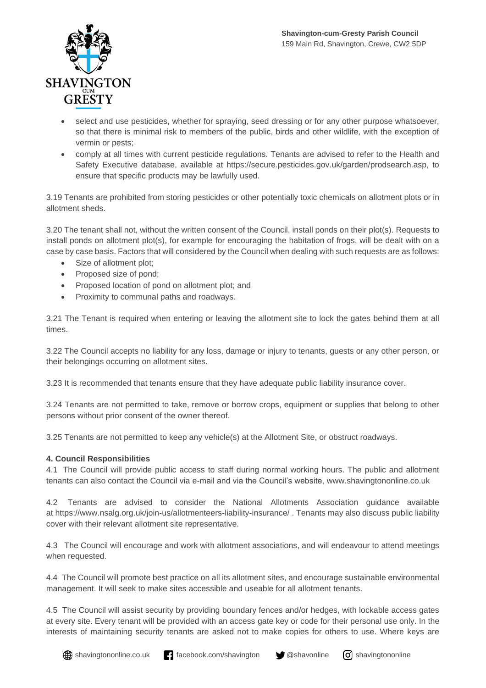

- select and use pesticides, whether for spraying, seed dressing or for any other purpose whatsoever, so that there is minimal risk to members of the public, birds and other wildlife, with the exception of vermin or pests;
- comply at all times with current pesticide regulations. Tenants are advised to refer to the Health and Safety Executive database, available at https://secure.pesticides.gov.uk/garden/prodsearch.asp, to ensure that specific products may be lawfully used.

3.19 Tenants are prohibited from storing pesticides or other potentially toxic chemicals on allotment plots or in allotment sheds.

3.20 The tenant shall not, without the written consent of the Council, install ponds on their plot(s). Requests to install ponds on allotment plot(s), for example for encouraging the habitation of frogs, will be dealt with on a case by case basis. Factors that will considered by the Council when dealing with such requests are as follows:

- Size of allotment plot;
- Proposed size of pond;
- Proposed location of pond on allotment plot; and
- Proximity to communal paths and roadways.

3.21 The Tenant is required when entering or leaving the allotment site to lock the gates behind them at all times.

3.22 The Council accepts no liability for any loss, damage or injury to tenants, guests or any other person, or their belongings occurring on allotment sites.

3.23 It is recommended that tenants ensure that they have adequate public liability insurance cover.

3.24 Tenants are not permitted to take, remove or borrow crops, equipment or supplies that belong to other persons without prior consent of the owner thereof.

3.25 Tenants are not permitted to keep any vehicle(s) at the Allotment Site, or obstruct roadways.

#### **4. Council Responsibilities**

4.1 The Council will provide public access to staff during normal working hours. The public and allotment tenants can also contact the Council via e-mail and via the Council's website, [www.shavingtononline.co.uk](http://www.shavingtononline.co.uk/)

4.2 Tenants are advised to consider the National Allotments Association guidance available at <https://www.nsalg.org.uk/join-us/allotmenteers-liability-insurance/> . Tenants may also discuss public liability cover with their relevant allotment site representative.

4.3 The Council will encourage and work with allotment associations, and will endeavour to attend meetings when requested.

4.4 The Council will promote best practice on all its allotment sites, and encourage sustainable environmental management. It will seek to make sites accessible and useable for all allotment tenants.

4.5 The Council will assist security by providing boundary fences and/or hedges, with lockable access gates at every site. Every tenant will be provided with an access gate key or code for their personal use only. In the interests of maintaining security tenants are asked not to make copies for others to use. Where keys are

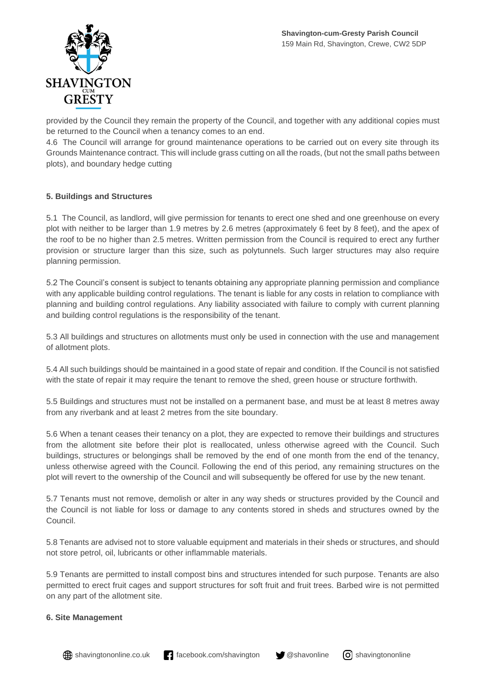

provided by the Council they remain the property of the Council, and together with any additional copies must be returned to the Council when a tenancy comes to an end.

4.6 The Council will arrange for ground maintenance operations to be carried out on every site through its Grounds Maintenance contract. This will include grass cutting on all the roads, (but not the small paths between plots), and boundary hedge cutting

### **5. Buildings and Structures**

5.1 The Council, as landlord, will give permission for tenants to erect one shed and one greenhouse on every plot with neither to be larger than 1.9 metres by 2.6 metres (approximately 6 feet by 8 feet), and the apex of the roof to be no higher than 2.5 metres. Written permission from the Council is required to erect any further provision or structure larger than this size, such as polytunnels. Such larger structures may also require planning permission.

5.2 The Council's consent is subject to tenants obtaining any appropriate planning permission and compliance with any applicable building control regulations. The tenant is liable for any costs in relation to compliance with planning and building control regulations. Any liability associated with failure to comply with current planning and building control regulations is the responsibility of the tenant.

5.3 All buildings and structures on allotments must only be used in connection with the use and management of allotment plots.

5.4 All such buildings should be maintained in a good state of repair and condition. If the Council is not satisfied with the state of repair it may require the tenant to remove the shed, green house or structure forthwith.

5.5 Buildings and structures must not be installed on a permanent base, and must be at least 8 metres away from any riverbank and at least 2 metres from the site boundary.

5.6 When a tenant ceases their tenancy on a plot, they are expected to remove their buildings and structures from the allotment site before their plot is reallocated, unless otherwise agreed with the Council. Such buildings, structures or belongings shall be removed by the end of one month from the end of the tenancy, unless otherwise agreed with the Council. Following the end of this period, any remaining structures on the plot will revert to the ownership of the Council and will subsequently be offered for use by the new tenant.

5.7 Tenants must not remove, demolish or alter in any way sheds or structures provided by the Council and the Council is not liable for loss or damage to any contents stored in sheds and structures owned by the Council.

5.8 Tenants are advised not to store valuable equipment and materials in their sheds or structures, and should not store petrol, oil, lubricants or other inflammable materials.

5.9 Tenants are permitted to install compost bins and structures intended for such purpose. Tenants are also permitted to erect fruit cages and support structures for soft fruit and fruit trees. Barbed wire is not permitted on any part of the allotment site.

#### **6. Site Management**

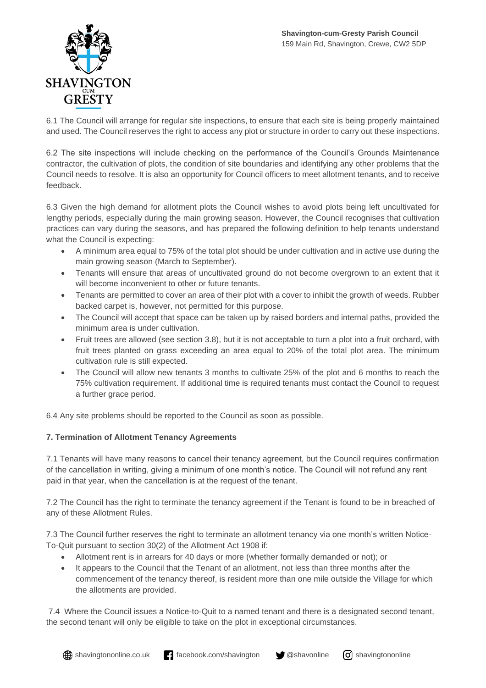

6.1 The Council will arrange for regular site inspections, to ensure that each site is being properly maintained and used. The Council reserves the right to access any plot or structure in order to carry out these inspections.

6.2 The site inspections will include checking on the performance of the Council's Grounds Maintenance contractor, the cultivation of plots, the condition of site boundaries and identifying any other problems that the Council needs to resolve. It is also an opportunity for Council officers to meet allotment tenants, and to receive feedback.

6.3 Given the high demand for allotment plots the Council wishes to avoid plots being left uncultivated for lengthy periods, especially during the main growing season. However, the Council recognises that cultivation practices can vary during the seasons, and has prepared the following definition to help tenants understand what the Council is expecting:

- A minimum area equal to 75% of the total plot should be under cultivation and in active use during the main growing season (March to September).
- Tenants will ensure that areas of uncultivated ground do not become overgrown to an extent that it will become inconvenient to other or future tenants.
- Tenants are permitted to cover an area of their plot with a cover to inhibit the growth of weeds. Rubber backed carpet is, however, not permitted for this purpose.
- The Council will accept that space can be taken up by raised borders and internal paths, provided the minimum area is under cultivation.
- Fruit trees are allowed (see section 3.8), but it is not acceptable to turn a plot into a fruit orchard, with fruit trees planted on grass exceeding an area equal to 20% of the total plot area. The minimum cultivation rule is still expected.
- The Council will allow new tenants 3 months to cultivate 25% of the plot and 6 months to reach the 75% cultivation requirement. If additional time is required tenants must contact the Council to request a further grace period.

6.4 Any site problems should be reported to the Council as soon as possible.

## **7. Termination of Allotment Tenancy Agreements**

7.1 Tenants will have many reasons to cancel their tenancy agreement, but the Council requires confirmation of the cancellation in writing, giving a minimum of one month's notice. The Council will not refund any rent paid in that year, when the cancellation is at the request of the tenant.

7.2 The Council has the right to terminate the tenancy agreement if the Tenant is found to be in breached of any of these Allotment Rules.

7.3 The Council further reserves the right to terminate an allotment tenancy via one month's written Notice-To-Quit pursuant to section 30(2) of the Allotment Act 1908 if:

- Allotment rent is in arrears for 40 days or more (whether formally demanded or not); or
- It appears to the Council that the Tenant of an allotment, not less than three months after the commencement of the tenancy thereof, is resident more than one mile outside the Village for which the allotments are provided.

7.4 Where the Council issues a Notice-to-Quit to a named tenant and there is a designated second tenant, the second tenant will only be eligible to take on the plot in exceptional circumstances.

 $\bigoplus$  shavingtononline.co.uk facebook.com/shavington  $\bigcirc$  @shavonline  $\bigcirc$  shavingtononline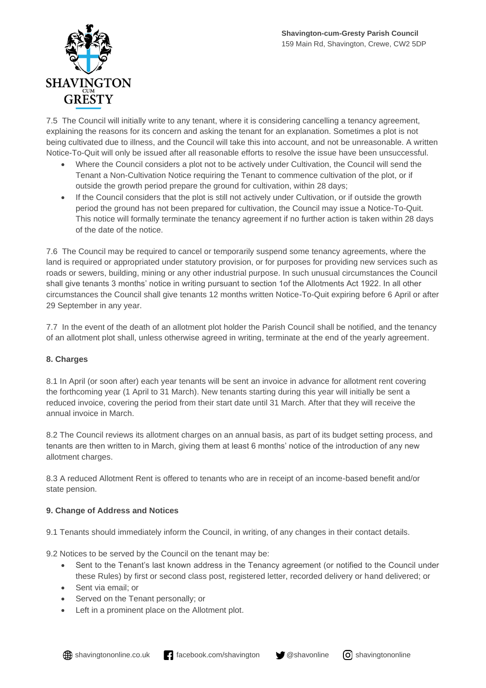

7.5 The Council will initially write to any tenant, where it is considering cancelling a tenancy agreement, explaining the reasons for its concern and asking the tenant for an explanation. Sometimes a plot is not being cultivated due to illness, and the Council will take this into account, and not be unreasonable. A written Notice-To-Quit will only be issued after all reasonable efforts to resolve the issue have been unsuccessful.

- Where the Council considers a plot not to be actively under Cultivation, the Council will send the Tenant a Non-Cultivation Notice requiring the Tenant to commence cultivation of the plot, or if outside the growth period prepare the ground for cultivation, within 28 days;
- If the Council considers that the plot is still not actively under Cultivation, or if outside the growth period the ground has not been prepared for cultivation, the Council may issue a Notice-To-Quit. This notice will formally terminate the tenancy agreement if no further action is taken within 28 days of the date of the notice.

7.6 The Council may be required to cancel or temporarily suspend some tenancy agreements, where the land is required or appropriated under statutory provision, or for purposes for providing new services such as roads or sewers, building, mining or any other industrial purpose. In such unusual circumstances the Council shall give tenants 3 months' notice in writing pursuant to section 1of the Allotments Act 1922. In all other circumstances the Council shall give tenants 12 months written Notice-To-Quit expiring before 6 April or after 29 September in any year.

7.7 In the event of the death of an allotment plot holder the Parish Council shall be notified, and the tenancy of an allotment plot shall, unless otherwise agreed in writing, terminate at the end of the yearly agreement.

## **8. Charges**

8.1 In April (or soon after) each year tenants will be sent an invoice in advance for allotment rent covering the forthcoming year (1 April to 31 March). New tenants starting during this year will initially be sent a reduced invoice, covering the period from their start date until 31 March. After that they will receive the annual invoice in March.

8.2 The Council reviews its allotment charges on an annual basis, as part of its budget setting process, and tenants are then written to in March, giving them at least 6 months' notice of the introduction of any new allotment charges.

8.3 A reduced Allotment Rent is offered to tenants who are in receipt of an income-based benefit and/or state pension.

#### **9. Change of Address and Notices**

9.1 Tenants should immediately inform the Council, in writing, of any changes in their contact details.

9.2 Notices to be served by the Council on the tenant may be:

- Sent to the Tenant's last known address in the Tenancy agreement (or notified to the Council under these Rules) by first or second class post, registered letter, recorded delivery or hand delivered; or
- Sent via email; or
- Served on the Tenant personally; or
- Left in a prominent place on the Allotment plot.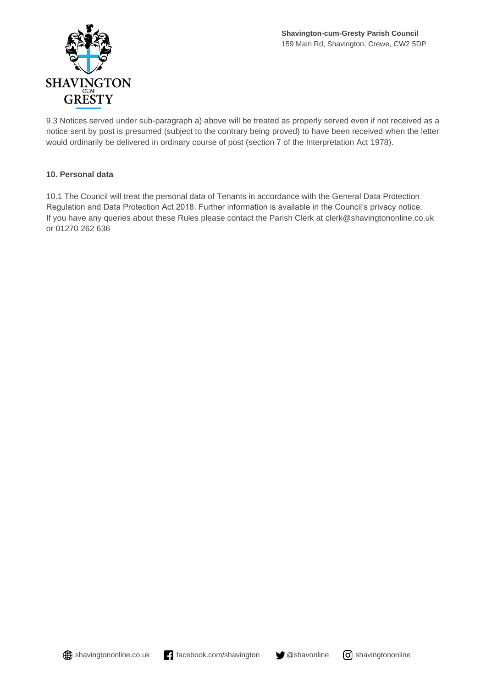

9.3 Notices served under sub-paragraph a) above will be treated as properly served even if not received as a notice sent by post is presumed (subject to the contrary being proved) to have been received when the letter would ordinarily be delivered in ordinary course of post (section 7 of the Interpretation Act 1978).

### **10. Personal data**

10.1 The Council will treat the personal data of Tenants in accordance with the General Data Protection Regulation and Data Protection Act 2018. Further information is available in the Council's privacy notice. If you have any queries about these Rules please contact the Parish Clerk at [clerk@shavingtononline.co.uk](mailto:clerk@shavingtononline.co.uk) or 01270 262 636

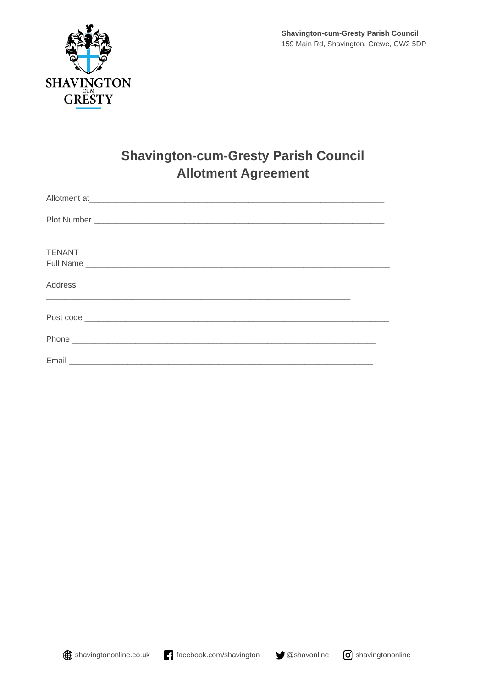

# **Shavington-cum-Gresty Parish Council Allotment Agreement**

| Allotment at experiment at the second contract of the second contract of the second contract of the second contract of the second contract of the second contract of the second contract of the second contract of the second |  |
|-------------------------------------------------------------------------------------------------------------------------------------------------------------------------------------------------------------------------------|--|
|                                                                                                                                                                                                                               |  |
| <b>TENANT</b>                                                                                                                                                                                                                 |  |
|                                                                                                                                                                                                                               |  |
|                                                                                                                                                                                                                               |  |
|                                                                                                                                                                                                                               |  |
|                                                                                                                                                                                                                               |  |